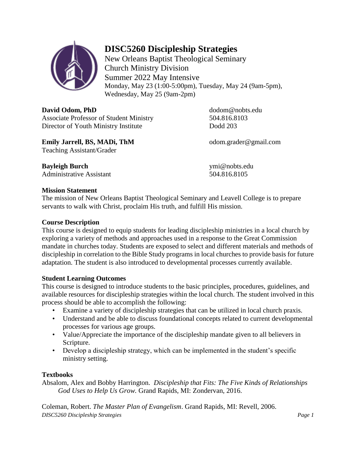

## **DISC5260 Discipleship Strategies**

New Orleans Baptist Theological Seminary Church Ministry Division Summer 2022 May Intensive Monday, May 23 (1:00-5:00pm), Tuesday, May 24 (9am-5pm), Wednesday, May 25 (9am-2pm)

**David Odom, PhD** dodom@nobts.edu Associate Professor of Student Ministry 504.816.8103 Director of Youth Ministry Institute Dodd 203

**Emily Jarrell, BS, MADi, ThM** odom.grader@gmail.com Teaching Assistant/Grader

**Bayleigh Burch** ymi@nobts.edu Administrative Assistant 504.816.8105

#### **Mission Statement**

The mission of New Orleans Baptist Theological Seminary and Leavell College is to prepare servants to walk with Christ, proclaim His truth, and fulfill His mission.

#### **Course Description**

This course is designed to equip students for leading discipleship ministries in a local church by exploring a variety of methods and approaches used in a response to the Great Commission mandate in churches today. Students are exposed to select and different materials and methods of discipleship in correlation to the Bible Study programs in local churches to provide basis for future adaptation. The student is also introduced to developmental processes currently available.

#### **Student Learning Outcomes**

This course is designed to introduce students to the basic principles, procedures, guidelines, and available resources for discipleship strategies within the local church. The student involved in this process should be able to accomplish the following:

- Examine a variety of discipleship strategies that can be utilized in local church praxis.
- Understand and be able to discuss foundational concepts related to current developmental processes for various age groups.
- Value/Appreciate the importance of the discipleship mandate given to all believers in Scripture.
- Develop a discipleship strategy, which can be implemented in the student's specific ministry setting.

#### **Textbooks**

Absalom, Alex and Bobby Harrington. *Discipleship that Fits: The Five Kinds of Relationships God Uses to Help Us Grow.* Grand Rapids, MI: Zondervan, 2016.

*DISC5260 Discipleship Strategies Page 1* Coleman, Robert. *The Master Plan of Evangelism*. Grand Rapids, MI: Revell, 2006.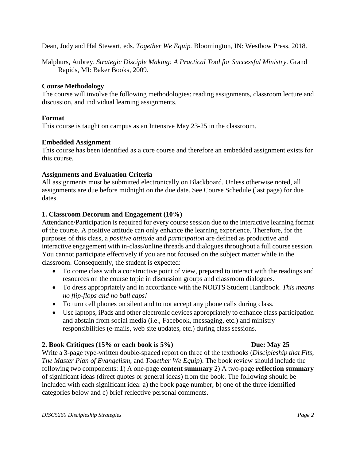Dean, Jody and Hal Stewart, eds. *Together We Equip.* Bloomington, IN: Westbow Press, 2018.

Malphurs, Aubrey. *Strategic Disciple Making: A Practical Tool for Successful Ministry*. Grand Rapids, MI: Baker Books, 2009.

#### **Course Methodology**

The course will involve the following methodologies: reading assignments, classroom lecture and discussion, and individual learning assignments.

#### **Format**

This course is taught on campus as an Intensive May 23-25 in the classroom.

#### **Embedded Assignment**

This course has been identified as a core course and therefore an embedded assignment exists for this course.

#### **Assignments and Evaluation Criteria**

All assignments must be submitted electronically on Blackboard. Unless otherwise noted, all assignments are due before midnight on the due date. See Course Schedule (last page) for due dates.

#### **1. Classroom Decorum and Engagement (10%)**

Attendance/Participation is required for every course session due to the interactive learning format of the course. A positive attitude can only enhance the learning experience. Therefore, for the purposes of this class, a *positive attitude* and *participation* are defined as productive and interactive engagement with in-class/online threads and dialogues throughout a full course session. You cannot participate effectively if you are not focused on the subject matter while in the classroom. Consequently, the student is expected:

- To come class with a constructive point of view, prepared to interact with the readings and resources on the course topic in discussion groups and classroom dialogues.
- To dress appropriately and in accordance with the NOBTS Student Handbook. *This means no flip-flops and no ball caps!*
- To turn cell phones on silent and to not accept any phone calls during class.
- Use laptops, iPads and other electronic devices appropriately to enhance class participation and abstain from social media (i.e., Facebook, messaging, etc.) and ministry responsibilities (e-mails, web site updates, etc.) during class sessions.

#### **2. Book Critiques (15% or each book is 5%) Due: May 25**

Write a 3-page type-written double-spaced report on three of the textbooks (*Discipleship that Fits, The Master Plan of Evangelism,* and *Together We Equip*). The book review should include the following two components: 1) A one-page **content summary** 2) A two-page **reflection summary** of significant ideas (direct quotes or general ideas) from the book. The following should be included with each significant idea: a) the book page number; b) one of the three identified categories below and c) brief reflective personal comments.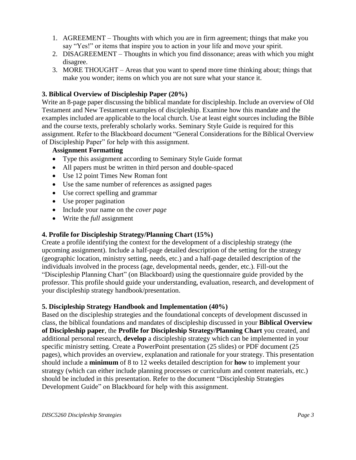- 1. AGREEMENT Thoughts with which you are in firm agreement; things that make you say "Yes!" or items that inspire you to action in your life and move your spirit.
- 2. DISAGREEMENT Thoughts in which you find dissonance; areas with which you might disagree.
- 3. MORE THOUGHT Areas that you want to spend more time thinking about; things that make you wonder; items on which you are not sure what your stance it.

#### **3. Biblical Overview of Discipleship Paper (20%)**

Write an 8-page paper discussing the biblical mandate for discipleship. Include an overview of Old Testament and New Testament examples of discipleship. Examine how this mandate and the examples included are applicable to the local church. Use at least eight sources including the Bible and the course texts, preferably scholarly works. Seminary Style Guide is required for this assignment. Refer to the Blackboard document "General Considerations for the Biblical Overview of Discipleship Paper" for help with this assignment.

#### **Assignment Formatting**

- Type this assignment according to Seminary Style Guide format
- All papers must be written in third person and double-spaced
- Use 12 point Times New Roman font
- Use the same number of references as assigned pages
- Use correct spelling and grammar
- Use proper pagination
- Include your name on the *cover page*
- Write the *full* assignment

#### **4. Profile for Discipleship Strategy/Planning Chart (15%)**

Create a profile identifying the context for the development of a discipleship strategy (the upcoming assignment). Include a half-page detailed description of the setting for the strategy (geographic location, ministry setting, needs, etc.) and a half-page detailed description of the individuals involved in the process (age, developmental needs, gender, etc.). Fill-out the "Discipleship Planning Chart" (on Blackboard) using the questionnaire guide provided by the professor. This profile should guide your understanding, evaluation, research, and development of your discipleship strategy handbook/presentation.

#### **5. Discipleship Strategy Handbook and Implementation (40%)**

Based on the discipleship strategies and the foundational concepts of development discussed in class, the biblical foundations and mandates of discipleship discussed in your **Biblical Overview of Discipleship paper**, the **Profile for Discipleship Strategy/Planning Chart** you created, and additional personal research, **develop** a discipleship strategy which can be implemented in your specific ministry setting. Create a PowerPoint presentation (25 slides) or PDF document (25 pages), which provides an overview, explanation and rationale for your strategy. This presentation should include a **minimum** of 8 to 12 weeks detailed description for **how** to implement your strategy (which can either include planning processes or curriculum and content materials, etc.) should be included in this presentation. Refer to the document "Discipleship Strategies Development Guide" on Blackboard for help with this assignment.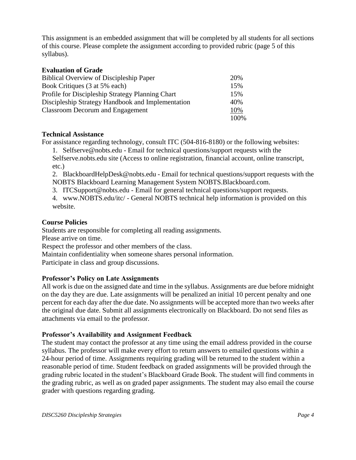This assignment is an embedded assignment that will be completed by all students for all sections of this course. Please complete the assignment according to provided rubric (page 5 of this syllabus).

#### **Evaluation of Grade**

| <b>Biblical Overview of Discipleship Paper</b>    | 20%  |
|---------------------------------------------------|------|
| Book Critiques (3 at 5% each)                     | 15%  |
| Profile for Discipleship Strategy Planning Chart  | 15%  |
| Discipleship Strategy Handbook and Implementation | 40%  |
| <b>Classroom Decorum and Engagement</b>           | 10%  |
|                                                   | 100% |

#### **Technical Assistance**

For assistance regarding technology, consult ITC (504-816-8180) or the following websites:

1. Selfserve@nobts.edu - Email for technical questions/support requests with the Selfserve.nobts.edu site (Access to online registration, financial account, online transcript, etc.)

2. BlackboardHelpDesk@nobts.edu - Email for technical questions/support requests with the NOBTS Blackboard Learning Management System NOBTS.Blackboard.com.

- 3. ITCSupport@nobts.edu Email for general technical questions/support requests.
- 4. www.NOBTS.edu/itc/ General NOBTS technical help information is provided on this website.

#### **Course Policies**

Students are responsible for completing all reading assignments.

Please arrive on time.

Respect the professor and other members of the class.

Maintain confidentiality when someone shares personal information.

Participate in class and group discussions.

#### **Professor's Policy on Late Assignments**

All work is due on the assigned date and time in the syllabus. Assignments are due before midnight on the day they are due. Late assignments will be penalized an initial 10 percent penalty and one percent for each day after the due date. No assignments will be accepted more than two weeks after the original due date. Submit all assignments electronically on Blackboard. Do not send files as attachments via email to the professor.

#### **Professor's Availability and Assignment Feedback**

The student may contact the professor at any time using the email address provided in the course syllabus. The professor will make every effort to return answers to emailed questions within a 24-hour period of time. Assignments requiring grading will be returned to the student within a reasonable period of time. Student feedback on graded assignments will be provided through the grading rubric located in the student's Blackboard Grade Book. The student will find comments in the grading rubric, as well as on graded paper assignments. The student may also email the course grader with questions regarding grading.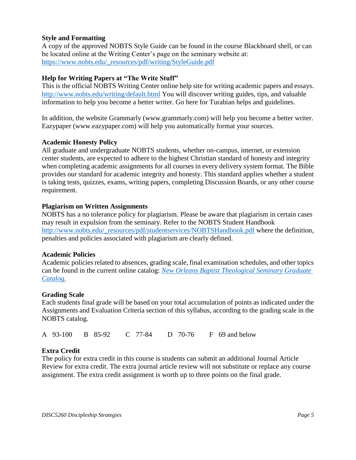#### **Style and Formatting**

A copy of the approved NOBTS Style Guide can be found in the course Blackboard shell, or can be located online at the Writing Center's page on the seminary website at: [https://www.nobts.edu/\\_resources/pdf/writing/StyleGuide.pdf](https://www.nobts.edu/_resources/pdf/writing/StyleGuide.pdf)

#### **Help for Writing Papers at "The Write Stuff"**

This is the official NOBTS Writing Center online help site for writing academic papers and essays. <http://www.nobts.edu/writing/default.html> You will discover writing guides, tips, and valuable information to help you become a better writer. Go here for Turabian helps and guidelines.

In addition, the website Grammarly (www.grammarly.com) will help you become a better writer. Eazypaper (www.eazypaper.com) will help you automatically format your sources.

#### **Academic Honesty Policy**

All graduate and undergraduate NOBTS students, whether on-campus, internet, or extension center students, are expected to adhere to the highest Christian standard of honesty and integrity when completing academic assignments for all courses in every delivery system format. The Bible provides our standard for academic integrity and honesty. This standard applies whether a student is taking tests, quizzes, exams, writing papers, completing Discussion Boards, or any other course requirement.

#### **Plagiarism on Written Assignments**

NOBTS has a no tolerance policy for plagiarism. Please be aware that plagiarism in certain cases may result in expulsion from the seminary. Refer to the NOBTS Student Handbook [http://www.nobts.edu/\\_resources/pdf/studentservices/NOBTSHandbook.pdf](http://www.nobts.edu/_resources/pdf/studentservices/NOBTSHandbook.pdf) where the definition, penalties and policies associated with plagiarism are clearly defined.

#### **Academic Policies**

Academic policies related to absences, grading scale, final examination schedules, and other topics can be found in the current online catalog: *[New Orleans Baptist Theological Seminary Graduate](http://www.nobts.edu/_resources/pdf/academics/GraduateCatalog.pdf)  [Catalog.](http://www.nobts.edu/_resources/pdf/academics/GraduateCatalog.pdf)*

#### **Grading Scale**

Each students final grade will be based on your total accumulation of points as indicated under the Assignments and Evaluation Criteria section of this syllabus, according to the grading scale in the NOBTS catalog.

A 93-100 B 85-92 C 77-84 D 70-76 F 69 and below

#### **Extra Credit**

The policy for extra credit in this course is students can submit an additional Journal Article Review for extra credit. The extra journal article review will not substitute or replace any course assignment. The extra credit assignment is worth up to three points on the final grade.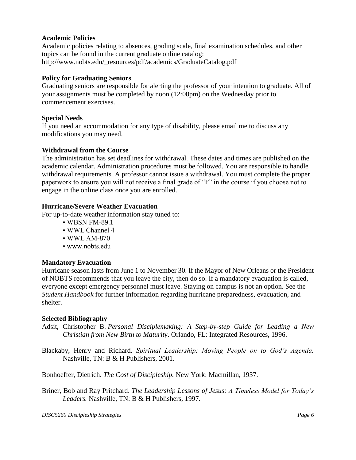#### **Academic Policies**

Academic policies relating to absences, grading scale, final examination schedules, and other topics can be found in the current graduate online catalog: http://www.nobts.edu/\_resources/pdf/academics/GraduateCatalog.pdf

#### **Policy for Graduating Seniors**

Graduating seniors are responsible for alerting the professor of your intention to graduate. All of your assignments must be completed by noon (12:00pm) on the Wednesday prior to commencement exercises.

#### **Special Needs**

If you need an accommodation for any type of disability, please email me to discuss any modifications you may need.

#### **Withdrawal from the Course**

The administration has set deadlines for withdrawal. These dates and times are published on the academic calendar. Administration procedures must be followed. You are responsible to handle withdrawal requirements. A professor cannot issue a withdrawal. You must complete the proper paperwork to ensure you will not receive a final grade of "F" in the course if you choose not to engage in the online class once you are enrolled.

#### **Hurricane/Severe Weather Evacuation**

For up-to-date weather information stay tuned to:

- WBSN FM-89.1
- WWL Channel 4
- WWL AM-870
- www.nobts.edu

#### **Mandatory Evacuation**

Hurricane season lasts from June 1 to November 30. If the Mayor of New Orleans or the President of NOBTS recommends that you leave the city, then do so. If a mandatory evacuation is called, everyone except emergency personnel must leave. Staying on campus is not an option. See the *Student Handbook* for further information regarding hurricane preparedness, evacuation, and shelter.

#### **Selected Bibliography**

Adsit, Christopher B. *Personal Disciplemaking: A Step-by-step Guide for Leading a New Christian from New Birth to Maturity*. Orlando, FL: Integrated Resources, 1996.

Blackaby, Henry and Richard. *Spiritual Leadership: Moving People on to God's Agenda.*  Nashville, TN: B & H Publishers, 2001.

Bonhoeffer, Dietrich. *The Cost of Discipleship.* New York: Macmillan, 1937.

Briner, Bob and Ray Pritchard. *The Leadership Lessons of Jesus: A Timeless Model for Today's Leaders.* Nashville, TN: B & H Publishers, 1997.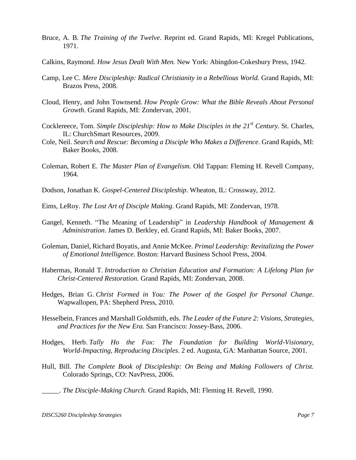- Bruce, A. B. *The Training of the Twelve*. Reprint ed. Grand Rapids, MI: Kregel Publications, 1971.
- Calkins, Raymond. *How Jesus Dealt With Men.* New York: Abingdon-Cokesbury Press, 1942.
- Camp, Lee C. *Mere Discipleship: Radical Christianity in a Rebellious World.* Grand Rapids, MI: Brazos Press, 2008.
- Cloud, Henry, and John Townsend. *How People Grow: What the Bible Reveals About Personal Growth*. Grand Rapids, MI: Zondervan, 2001.
- Cocklereece, Tom. *Simple Discipleship: How to Make Disciples in the 21st Century*. St. Charles, IL: ChurchSmart Resources, 2009.
- Cole, Neil. *Search and Rescue: Becoming a Disciple Who Makes a Difference*. Grand Rapids, MI: Baker Books, 2008.
- Coleman, Robert E. *The Master Plan of Evangelism.* Old Tappan: Fleming H. Revell Company, 1964.
- Dodson, Jonathan K. *Gospel-Centered Discipleship*. Wheaton, IL: Crossway, 2012.
- Eims, LeRoy. *The Lost Art of Disciple Making*. Grand Rapids, MI: Zondervan, 1978.
- Gangel, Kenneth. "The Meaning of Leadership" in *Leadership Handbook of Management & Administration*. James D. Berkley, ed. Grand Rapids, MI: Baker Books, 2007.
- Goleman, Daniel, Richard Boyatis, and Annie McKee. *Primal Leadership: Revitalizing the Power of Emotional Intelligence.* Boston: Harvard Business School Press, 2004.
- Habermas, Ronald T. *Introduction to Christian Education and Formation: A Lifelong Plan for Christ-Centered Restoration*. Grand Rapids, MI: Zondervan, 2008.
- Hedges, Brian G. *Christ Formed in You: The Power of the Gospel for Personal Change*. Wapwallopen, PA: Shepherd Press, 2010.
- Hesselbein, Frances and Marshall Goldsmith, eds. *The Leader of the Future 2: Visions, Strategies, and Practices for the New Era.* San Francisco: Jossey-Bass, 2006.
- Hodges, Herb. *Tally Ho the Fox: The Foundation for Building World-Visionary, World-Impacting, Reproducing Disciples*. 2 ed. Augusta, GA: Manhattan Source, 2001.
- Hull, Bill. *The Complete Book of Discipleship: On Being and Making Followers of Christ.*  Colorado Springs, CO: NavPress, 2006.
- \_\_\_\_\_. *The Disciple-Making Church.* Grand Rapids, MI: Fleming H. Revell, 1990.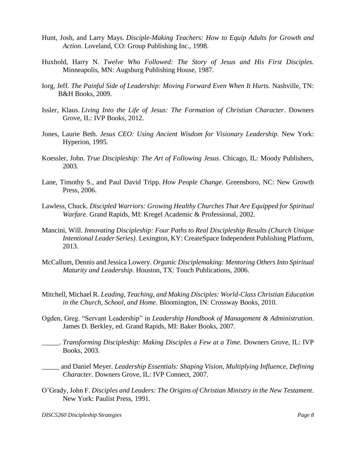- Hunt, Josh, and Larry Mays. *Disciple-Making Teachers: How to Equip Adults for Growth and Action*. Loveland, CO: Group Publishing Inc., 1998.
- Huxhold, Harry N. *Twelve Who Followed: The Story of Jesus and His First Disciples.*  Minneapolis, MN: Augsburg Publishing House, 1987.
- Iorg, Jeff. *The Painful Side of Leadership: Moving Forward Even When It Hurts*. Nashville, TN: B&H Books, 2009.
- Issler, Klaus. *Living Into the Life of Jesus: The Formation of Christian Character*. Downers Grove, IL: IVP Books, 2012.
- Jones, Laurie Beth. *Jesus CEO: Using Ancient Wisdom for Visionary Leadership.* New York: Hyperion, 1995.
- Koessler, John. *True Discipleship: The Art of Following Jesus*. Chicago, IL: Moody Publishers, 2003.
- Lane, Timothy S., and Paul David Tripp. *How People Change*. Greensboro, NC: New Growth Press, 2006.
- Lawless, Chuck. *Discipled Warriors: Growing Healthy Churches That Are Equipped for Spiritual Warfare*. Grand Rapids, MI: Kregel Academic & Professional, 2002.
- Mancini, Will. *Innovating Discipleship: Four Paths to Real Discipleship Results (Church Unique Intentional Leader Series)*. Lexington, KY: CreateSpace Independent Publishing Platform, 2013.
- McCallum, Dennis and Jessica Lowery. *Organic Disciplemaking: Mentoring Others Into Spiritual Maturity and Leadership.* Houston, TX: Touch Publications, 2006.
- Mitchell, Michael R. *Leading, Teaching, and Making Disciples: World-Class Christian Education in the Church, School, and Home.* Bloomington, IN: Crossway Books, 2010.
- Ogden, Greg. "Servant Leadership" in *Leadership Handbook of Management & Administration*. James D. Berkley, ed. Grand Rapids, MI: Baker Books, 2007.
	- \_\_\_\_\_. *Transforming Discipleship: Making Disciples a Few at a Time*. Downers Grove, IL: IVP Books, 2003.
- \_\_\_\_\_ and Daniel Meyer. *Leadership Essentials: Shaping Vision, Multiplying Influence, Defining Character.* Downers Grove, IL: IVP Connect, 2007.
- O'Grady, John F. *Disciples and Leaders: The Origins of Christian Ministry in the New Testament*. New York: Paulist Press, 1991.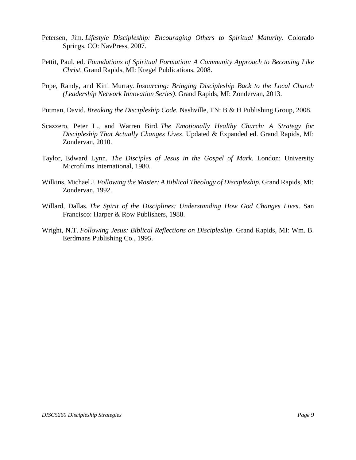- Petersen, Jim. *Lifestyle Discipleship: Encouraging Others to Spiritual Maturity*. Colorado Springs, CO: NavPress, 2007.
- Pettit, Paul, ed. *Foundations of Spiritual Formation: A Community Approach to Becoming Like Christ.* Grand Rapids, MI: Kregel Publications, 2008.
- Pope, Randy, and Kitti Murray. *Insourcing: Bringing Discipleship Back to the Local Church (Leadership Network Innovation Series)*. Grand Rapids, MI: Zondervan, 2013.
- Putman, David. *Breaking the Discipleship Code.* Nashville, TN: B & H Publishing Group, 2008.
- Scazzero, Peter L., and Warren Bird. *The Emotionally Healthy Church: A Strategy for Discipleship That Actually Changes Lives*. Updated & Expanded ed. Grand Rapids, MI: Zondervan, 2010.
- Taylor, Edward Lynn. *The Disciples of Jesus in the Gospel of Mark.* London: University Microfilms International, 1980.
- Wilkins, Michael J. *Following the Master: A Biblical Theology of Discipleship.* Grand Rapids, MI: Zondervan, 1992.
- Willard, Dallas. *The Spirit of the Disciplines: Understanding How God Changes Lives*. San Francisco: Harper & Row Publishers, 1988.
- Wright, N.T. *Following Jesus: Biblical Reflections on Discipleship*. Grand Rapids, MI: Wm. B. Eerdmans Publishing Co., 1995.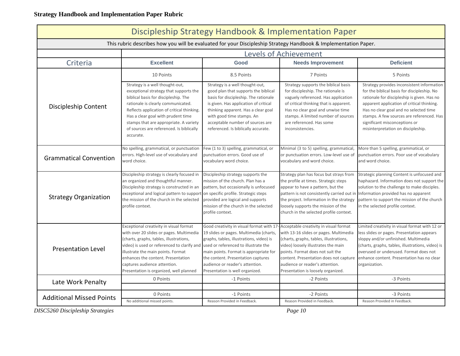### **Strategy Handbook and Implementation Paper Rubric**

| Discipleship Strategy Handbook & Implementation Paper                                                           |                                                                                                                                                                                                                                                                                                                                                                           |                                                                                                                                                                                                                                                                                                          |                                                                                                                                                                                                                                                                                                                           |                                                                                                                                                                                                                                                                                                                                                      |  |  |
|-----------------------------------------------------------------------------------------------------------------|---------------------------------------------------------------------------------------------------------------------------------------------------------------------------------------------------------------------------------------------------------------------------------------------------------------------------------------------------------------------------|----------------------------------------------------------------------------------------------------------------------------------------------------------------------------------------------------------------------------------------------------------------------------------------------------------|---------------------------------------------------------------------------------------------------------------------------------------------------------------------------------------------------------------------------------------------------------------------------------------------------------------------------|------------------------------------------------------------------------------------------------------------------------------------------------------------------------------------------------------------------------------------------------------------------------------------------------------------------------------------------------------|--|--|
| This rubric describes how you will be evaluated for your Discipleship Strategy Handbook & Implementation Paper. |                                                                                                                                                                                                                                                                                                                                                                           |                                                                                                                                                                                                                                                                                                          |                                                                                                                                                                                                                                                                                                                           |                                                                                                                                                                                                                                                                                                                                                      |  |  |
|                                                                                                                 | <b>Levels of Achievement</b>                                                                                                                                                                                                                                                                                                                                              |                                                                                                                                                                                                                                                                                                          |                                                                                                                                                                                                                                                                                                                           |                                                                                                                                                                                                                                                                                                                                                      |  |  |
| Criteria                                                                                                        | <b>Excellent</b>                                                                                                                                                                                                                                                                                                                                                          | Good                                                                                                                                                                                                                                                                                                     | <b>Needs Improvement</b>                                                                                                                                                                                                                                                                                                  | <b>Deficient</b>                                                                                                                                                                                                                                                                                                                                     |  |  |
|                                                                                                                 | 10 Points                                                                                                                                                                                                                                                                                                                                                                 | 8.5 Points                                                                                                                                                                                                                                                                                               | 7 Points                                                                                                                                                                                                                                                                                                                  | 5 Points                                                                                                                                                                                                                                                                                                                                             |  |  |
| Discipleship Content                                                                                            | Strategy is a well thought-out,<br>exceptional strategy that supports the<br>biblical basis for discipleship. The<br>rationale is clearly communicated.<br>Reflects application of critical thinking.<br>Has a clear goal with prudent time<br>stamps that are appropriate. A variety<br>of sources are referenced. Is biblically<br>accurate.                            | Strategy is a well thought-out,<br>good plan that supports the biblical<br>basis for discipleship. The rationale<br>is given. Has application of critical<br>thinking apparent. Has a clear goal<br>with good time stamps. An<br>acceptable number of sources are<br>referenced. Is biblically accurate. | Strategy supports the biblical basis<br>for discipleship. The rationale is<br>vaguely referenced. Has application<br>of critical thinking that is apparent.<br>Has no clear goal and unwise time<br>stamps. A limited number of sources<br>are referenced. Has some<br>inconsistencies.                                   | Strategy provides inconsistent information<br>for the biblical basis for discipleship. No<br>rationale for discipleship is given. Has no<br>apparent application of critical thinking.<br>Has no clear goal and no selected time<br>stamps. A few sources are referenced. Has<br>significant misconceptions or<br>misinterpretation on discipleship. |  |  |
| <b>Grammatical Convention</b>                                                                                   | No spelling, grammatical, or punctuation<br>errors. High-level use of vocabulary and<br>word choice.                                                                                                                                                                                                                                                                      | Few (1 to 3) spelling, grammatical, or<br>punctuation errors. Good use of<br>vocabulary word choice.                                                                                                                                                                                                     | Minimal (3 to 5) spelling, grammatical,<br>or punctuation errors. Low-level use of<br>vocabulary and word choice.                                                                                                                                                                                                         | More than 5 spelling, grammatical, or<br>punctuation errors. Poor use of vocabulary<br>and word choice.                                                                                                                                                                                                                                              |  |  |
| <b>Strategy Organization</b>                                                                                    | Discipleship strategy is clearly focused in<br>an organized and thoughtful manner.<br>Discipleship strategy is constructed in an<br>exceptional and logical pattern to support on specific profile. Strategic steps<br>the mission of the church in the selected<br>profile context.                                                                                      | Discipleship strategy supports the<br>mission of the church. Plan has a<br>pattern, but occasionally is unfocused<br>provided are logical and supports<br>mission of the church in the selected<br>profile context.                                                                                      | Strategy plan has focus but strays from<br>the profile at times. Strategic steps<br>appear to have a pattern, but the<br>pattern is not consistently carried out in<br>the project. Information in the strategy<br>loosely supports the mission of the<br>church in the selected profile context.                         | Strategic planning Content is unfocused and<br>haphazard. Information does not support the<br>solution to the challenge to make disciples.<br>Information provided has no apparent<br>pattern to support the mission of the church<br>in the selected profile context.                                                                               |  |  |
| <b>Presentation Level</b>                                                                                       | Exceptional creativity in visual format<br>with over 20 slides or pages. Multimedia<br>(charts, graphs, tables, illustrations,<br>video) is used or referenced to clarify and used or referenced to illustrate the<br>illustrate the main points. Format<br>enhances the content. Presentation<br>captures audience attention.<br>Presentation is organized, well planned | Good creativity in visual format with 17<br>19 slides or pages. Multimedia (charts,<br>graphs, tables, illustrations, video) is<br>main points. Format is appropriate for<br>the content. Presentation captures<br>audience or reader's attention.<br>Presentation is well organized.                    | Acceptable creativity in visual format<br>with 13-16 slides or pages. Multimedia<br>(charts, graphs, tables, illustrations,<br>video) loosely illustrates the main<br>points. Format does not suit the<br>content. Presentation does not capture<br>audience or reader's attention.<br>Presentation is loosely organized. | Limited creativity in visual format with 12 or<br>less slides or pages. Presentation appears<br>sloppy and/or unfinished. Multimedia<br>(charts, graphs, tables, illustrations, video) is<br>overused or underused. Format does not<br>enhance content. Presentation has no clear<br>organization.                                                   |  |  |
| Late Work Penalty                                                                                               | 0 Points                                                                                                                                                                                                                                                                                                                                                                  | -1 Points                                                                                                                                                                                                                                                                                                | -2 Points                                                                                                                                                                                                                                                                                                                 | -3 Points                                                                                                                                                                                                                                                                                                                                            |  |  |
|                                                                                                                 |                                                                                                                                                                                                                                                                                                                                                                           |                                                                                                                                                                                                                                                                                                          |                                                                                                                                                                                                                                                                                                                           |                                                                                                                                                                                                                                                                                                                                                      |  |  |
| <b>Additional Missed Points</b>                                                                                 | 0 Points<br>No additional missed points.                                                                                                                                                                                                                                                                                                                                  | -1 Points<br>Reason Provided in Feedback.                                                                                                                                                                                                                                                                | -2 Points<br>Reason Provided in Feedback.                                                                                                                                                                                                                                                                                 | -3 Points<br>Reason Provided in Feedback.                                                                                                                                                                                                                                                                                                            |  |  |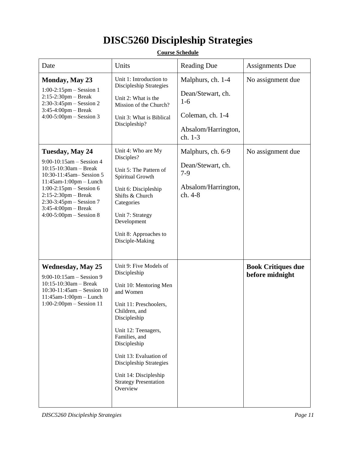# **DISC5260 Discipleship Strategies**

| Date                                                                                                                                                                                                                                                                                  | Units                                                                                                                                                                                                                                                                                                                      | <b>Reading Due</b>                                                                                    | <b>Assignments Due</b>                       |
|---------------------------------------------------------------------------------------------------------------------------------------------------------------------------------------------------------------------------------------------------------------------------------------|----------------------------------------------------------------------------------------------------------------------------------------------------------------------------------------------------------------------------------------------------------------------------------------------------------------------------|-------------------------------------------------------------------------------------------------------|----------------------------------------------|
| <b>Monday, May 23</b><br>$1:00-2:15$ pm – Session 1<br>$2:15-2:30$ pm – Break<br>$2:30-3:45$ pm – Session 2<br>$3:45-4:00$ pm – Break<br>$4:00-5:00$ pm – Session 3                                                                                                                   | Unit 1: Introduction to<br>Discipleship Strategies<br>Unit 2: What is the<br>Mission of the Church?<br>Unit 3: What is Biblical<br>Discipleship?                                                                                                                                                                           | Malphurs, ch. 1-4<br>Dean/Stewart, ch.<br>$1-6$<br>Coleman, ch. 1-4<br>Absalom/Harrington,<br>ch. 1-3 | No assignment due                            |
| Tuesday, May 24<br>$9:00-10:15$ am - Session 4<br>$10:15-10:30am - Break$<br>10:30-11:45am - Session 5<br>$11:45$ am- $1:00$ pm - Lunch<br>$1:00-2:15$ pm – Session 6<br>$2:15-2:30$ pm - Break<br>$2:30-3:45$ pm – Session 7<br>$3:45-4:00$ pm - Break<br>$4:00-5:00$ pm – Session 8 | Unit 4: Who are My<br>Disciples?<br>Unit 5: The Pattern of<br>Spiritual Growth<br>Unit 6: Discipleship<br>Shifts & Church<br>Categories<br>Unit 7: Strategy<br>Development<br>Unit 8: Approaches to<br>Disciple-Making                                                                                                     | Malphurs, ch. 6-9<br>Dean/Stewart, ch.<br>$7-9$<br>Absalom/Harrington,<br>ch. 4-8                     | No assignment due                            |
| <b>Wednesday, May 25</b><br>$9:00-10:15am - Session 9$<br>$10:15-10:30am - Break$<br>$10:30-11:45am - Session 10$<br>$11:45$ am- $1:00$ pm - Lunch<br>$1:00-2:00$ pm – Session 11                                                                                                     | Unit 9: Five Models of<br>Discipleship<br>Unit 10: Mentoring Men<br>and Women<br>Unit 11: Preschoolers,<br>Children, and<br>Discipleship<br>Unit 12: Teenagers,<br>Families, and<br>Discipleship<br>Unit 13: Evaluation of<br>Discipleship Strategies<br>Unit 14: Discipleship<br><b>Strategy Presentation</b><br>Overview |                                                                                                       | <b>Book Critiques due</b><br>before midnight |

#### **Course Schedule**